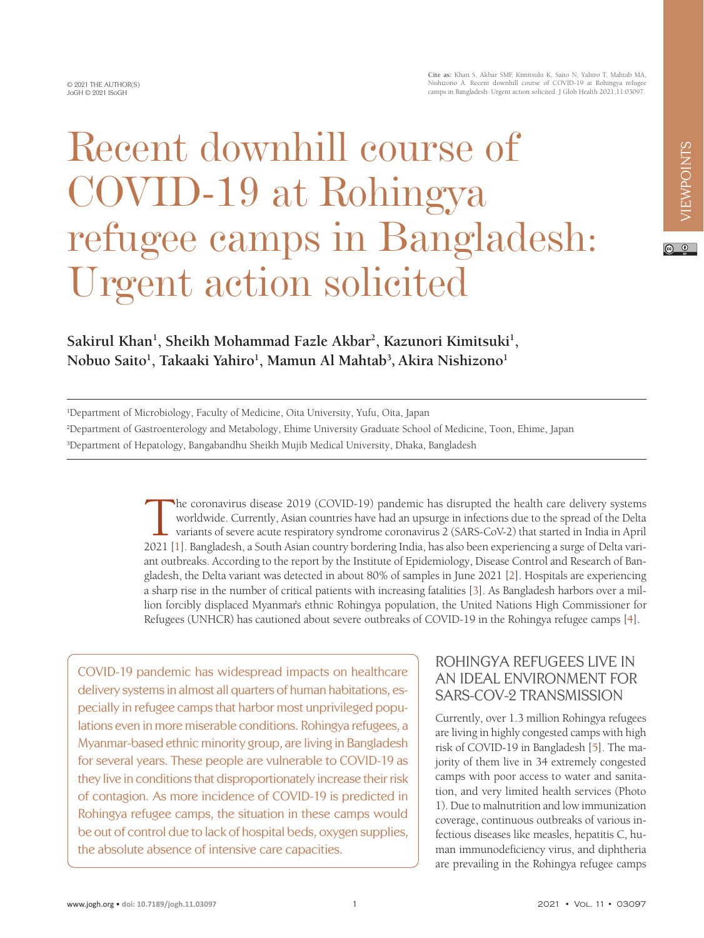© 2021 THE AUTHOR(S) JoGH © 2021 ISoGH

# Recent downhill course of COVID-19 at Rohingya refugee camps in Bangladesh: Urgent action solicited

#### $\odot$   $\odot$

# **Sakirul Khan<sup>1</sup> , Sheikh Mohammad Fazle Akbar<sup>2</sup> , Kazunori Kimitsuki<sup>1</sup> , Nobuo Saito<sup>1</sup> , Takaaki Yahiro<sup>1</sup> , Mamun Al Mahtab<sup>3</sup>** , **Akira Nishizono<sup>1</sup>**

1 Department of Microbiology, Faculty of Medicine, Oita University, Yufu, Oita, Japan 2 Department of Gastroenterology and Metabology, Ehime University Graduate School of Medicine, Toon, Ehime, Japan 3 Department of Hepatology, Bangabandhu Sheikh Mujib Medical University, Dhaka, Bangladesh

> The coronavirus disease 2019 (COVID-19) pandemic has disrupted the health care delivery systems<br>worldwide. Currently, Asian countries have had an upsurge in infections due to the spread of the Delta<br>variants of severe acut worldwide. Currently, Asian countries have had an upsurge in infections due to the spread of the Delta variants of severe acute respiratory syndrome coronavirus 2 (SARS-CoV-2) that started in India in April 2021 [[1\]](#page-4-0). Bangladesh, a South Asian country bordering India, has also been experiencing a surge of Delta variant outbreaks. According to the report by the Institute of Epidemiology, Disease Control and Research of Bangladesh, the Delta variant was detected in about 80% of samples in June 2021 [[2\]](#page-4-1). Hospitals are experiencing a sharp rise in the number of critical patients with increasing fatalities [\[3](#page-4-2)]. As Bangladesh harbors over a million forcibly displaced Myanmar's ethnic Rohingya population, the United Nations High Commissioner for Refugees (UNHCR) has cautioned about severe outbreaks of COVID-19 in the Rohingya refugee camps [[4\]](#page-4-3).

COVID-19 pandemic has widespread impacts on healthcare delivery systems in almost all quarters of human habitations, especially in refugee camps that harbor most unprivileged populations even in more miserable conditions. Rohingya refugees, a Myanmar-based ethnic minority group, are living in Bangladesh for several years. These people are vulnerable to COVID-19 as they live in conditions that disproportionately increase their risk of contagion. As more incidence of COVID-19 is predicted in Rohingya refugee camps, the situation in these camps would be out of control due to lack of hospital beds, oxygen supplies, the absolute absence of intensive care capacities.

#### ROHINGYA REFUGEES LIVE IN AN IDEAL ENVIRONMENT FOR SARS-COV-2 TRANSMISSION

Currently, over 1.3 million Rohingya refugees are living in highly congested camps with high risk of COVID-19 in Bangladesh [\[5](#page-4-4)]. The majority of them live in 34 extremely congested camps with poor access to water and sanitation, and very limited health services (Photo 1). Due to malnutrition and low immunization coverage, continuous outbreaks of various infectious diseases like measles, hepatitis C, human immunodeficiency virus, and diphtheria are prevailing in the Rohingya refugee camps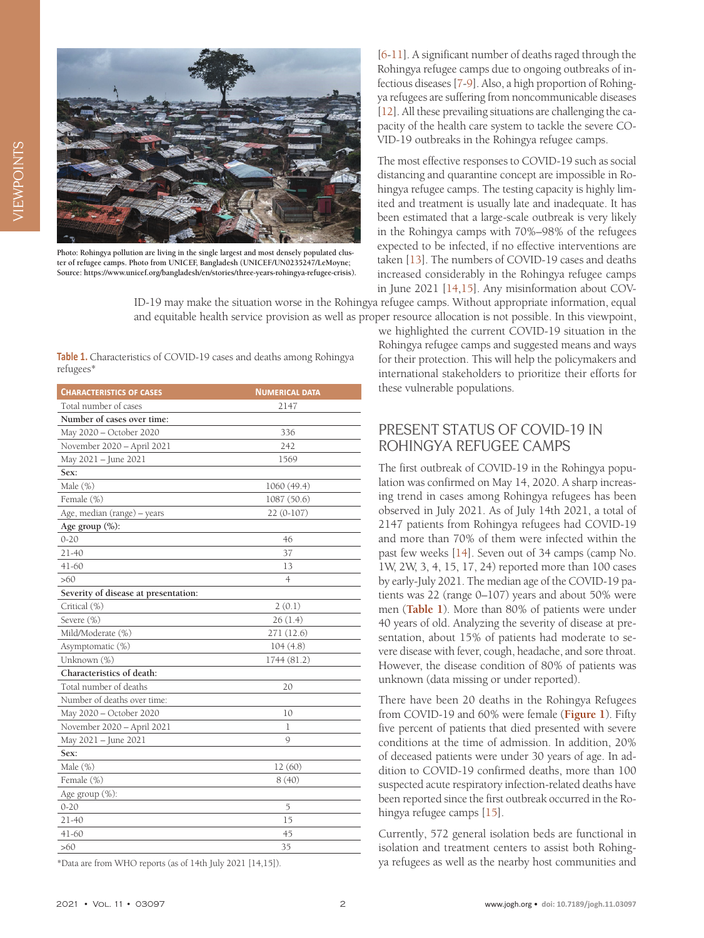



**Photo: Rohingya pollution are living in the single largest and most densely populated cluster of refugee camps. Photo from UNICEF, Bangladesh (UNICEF/UN0235247/LeMoyne; Source: https://www.unicef.org/bangladesh/en/stories/three-years-rohingya-refugee-crisis).**

[[6-](#page-4-5)[11](#page-4-6)]. A significant number of deaths raged through the Rohingya refugee camps due to ongoing outbreaks of infectious diseases [[7-](#page-4-7)[9\]](#page-4-8). Also, a high proportion of Rohingya refugees are suffering from noncommunicable diseases [[12\]](#page-4-9). All these prevailing situations are challenging the capacity of the health care system to tackle the severe CO-VID-19 outbreaks in the Rohingya refugee camps.

The most effective responses to COVID-19 such as social distancing and quarantine concept are impossible in Rohingya refugee camps. The testing capacity is highly limited and treatment is usually late and inadequate. It has been estimated that a large-scale outbreak is very likely in the Rohingya camps with 70%–98% of the refugees expected to be infected, if no effective interventions are taken [\[13\]](#page-4-10). The numbers of COVID-19 cases and deaths increased considerably in the Rohingya refugee camps in June 2021 [[14](#page-4-11)[,15](#page-4-12)]. Any misinformation about COV-

ID-19 may make the situation worse in the Rohingya refugee camps. Without appropriate information, equal and equitable health service provision as well as proper resource allocation is not possible. In this viewpoint,

<span id="page-1-0"></span>Table 1. Characteristics of COVID-19 cases and deaths among Rohingya refugees\*

| <b>CHARACTERISTICS OF CASES</b>      | <b>NUMERICAL DATA</b> |
|--------------------------------------|-----------------------|
| Total number of cases                | 2147                  |
| Number of cases over time:           |                       |
| May 2020 - October 2020              | 336                   |
| November 2020 - April 2021           | 242                   |
| May 2021 - June 2021                 | 1569                  |
| Sex:                                 |                       |
| Male (%)                             | 1060 (49.4)           |
| Female (%)                           | 1087 (50.6)           |
| Age, median (range) - years          | $22(0-107)$           |
| Age group (%):                       |                       |
| $0 - 20$                             | 46                    |
| $21 - 40$                            | 37                    |
| $41 - 60$                            | 13                    |
| >60                                  | $\overline{4}$        |
| Severity of disease at presentation: |                       |
| Critical (%)                         | 2(0.1)                |
| Severe (%)                           | 26(1.4)               |
| Mild/Moderate (%)                    | 271 (12.6)            |
| Asymptomatic (%)                     | 104(4.8)              |
| Unknown (%)                          | 1744 (81.2)           |
| Characteristics of death:            |                       |
| Total number of deaths               | 20                    |
| Number of deaths over time:          |                       |
| May 2020 - October 2020              | 10                    |
| November 2020 - April 2021           | 1                     |
| May 2021 - June 2021                 | Q                     |
| Sex:                                 |                       |
| Male (%)                             | 12(60)                |
| Female (%)                           | 8(40)                 |
| Age group (%):                       |                       |
| $0 - 20$                             | 5                     |
| $21 - 40$                            | 15                    |
| $41 - 60$                            | 45                    |
| >60                                  | 35                    |

\*Data are from WHO reports (as of 14th July 2021 [14,15]).

we highlighted the current COVID-19 situation in the Rohingya refugee camps and suggested means and ways for their protection. This will help the policymakers and international stakeholders to prioritize their efforts for these vulnerable populations.

#### PRESENT STATUS OF COVID-19 IN ROHINGYA REFUGEE CAMPS

The first outbreak of COVID-19 in the Rohingya population was confirmed on May 14, 2020. A sharp increasing trend in cases among Rohingya refugees has been observed in July 2021. As of July 14th 2021, a total of 2147 patients from Rohingya refugees had COVID-19 and more than 70% of them were infected within the past few weeks [\[14\]](#page-4-11). Seven out of 34 camps (camp No. 1W, 2W, 3, 4, 15, 17, 24) reported more than 100 cases by early-July 2021. The median age of the COVID-19 patients was 22 (range 0–107) years and about 50% were men (**[Table 1](#page-1-0)**). More than 80% of patients were under 40 years of old. Analyzing the severity of disease at presentation, about 15% of patients had moderate to severe disease with fever, cough, headache, and sore throat. However, the disease condition of 80% of patients was unknown (data missing or under reported).

There have been 20 deaths in the Rohingya Refugees from COVID-19 and 60% were female (**[Figure 1](#page-2-0)**). Fifty five percent of patients that died presented with severe conditions at the time of admission. In addition, 20% of deceased patients were under 30 years of age. In addition to COVID-19 confirmed deaths, more than 100 suspected acute respiratory infection-related deaths have been reported since the first outbreak occurred in the Rohingya refugee camps [[15\]](#page-4-12).

Currently, 572 general isolation beds are functional in isolation and treatment centers to assist both Rohingya refugees as well as the nearby host communities and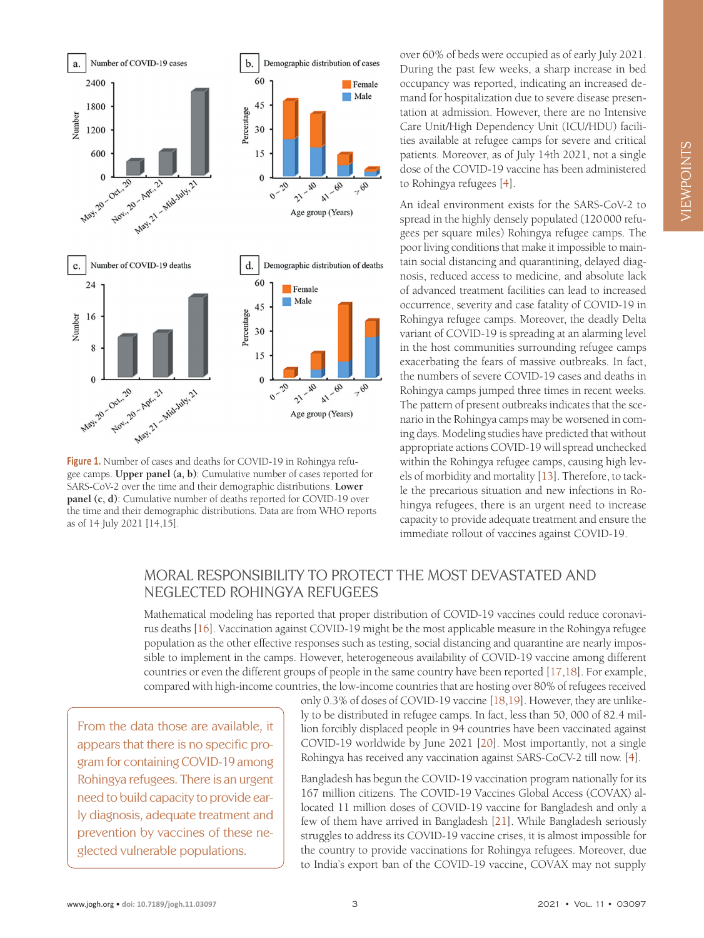<span id="page-2-0"></span>

Figure 1. Number of cases and deaths for COVID-19 in Rohingya refugee camps. **Upper panel (a, b)**: Cumulative number of cases reported for SARS-CoV-2 over the time and their demographic distributions. **Lower panel (c, d)**: Cumulative number of deaths reported for COVID-19 over the time and their demographic distributions. Data are from WHO reports as of 14 July 2021 [14,15].

over 60% of beds were occupied as of early July 2021. During the past few weeks, a sharp increase in bed occupancy was reported, indicating an increased demand for hospitalization due to severe disease presentation at admission. However, there are no Intensive Care Unit/High Dependency Unit (ICU/HDU) facilities available at refugee camps for severe and critical patients. Moreover, as of July 14th 2021, not a single dose of the COVID-19 vaccine has been administered to Rohingya refugees [[4\]](#page-4-3).

An ideal environment exists for the SARS-CoV-2 to spread in the highly densely populated (120000 refugees per square miles) Rohingya refugee camps. The poor living conditions that make it impossible to maintain social distancing and quarantining, delayed diagnosis, reduced access to medicine, and absolute lack of advanced treatment facilities can lead to increased occurrence, severity and case fatality of COVID-19 in Rohingya refugee camps. Moreover, the deadly Delta variant of COVID-19 is spreading at an alarming level in the host communities surrounding refugee camps exacerbating the fears of massive outbreaks. In fact, the numbers of severe COVID-19 cases and deaths in Rohingya camps jumped three times in recent weeks. The pattern of present outbreaks indicates that the scenario in the Rohingya camps may be worsened in coming days. Modeling studies have predicted that without appropriate actions COVID-19 will spread unchecked within the Rohingya refugee camps, causing high levels of morbidity and mortality [\[13](#page-4-10)]. Therefore, to tackle the precarious situation and new infections in Rohingya refugees, there is an urgent need to increase capacity to provide adequate treatment and ensure the immediate rollout of vaccines against COVID-19.

## MORAL RESPONSIBILITY TO PROTECT THE MOST DEVASTATED AND NEGLECTED ROHINGYA REFUGEES

Mathematical modeling has reported that proper distribution of COVID-19 vaccines could reduce coronavirus deaths [[16](#page-4-13)]. Vaccination against COVID-19 might be the most applicable measure in the Rohingya refugee population as the other effective responses such as testing, social distancing and quarantine are nearly impossible to implement in the camps. However, heterogeneous availability of COVID-19 vaccine among different countries or even the different groups of people in the same country have been reported [\[17,](#page-4-14)[18](#page-4-15)]. For example, compared with high-income countries, the low-income countries that are hosting over 80% of refugees received

From the data those are available, it appears that there is no specific program for containing COVID-19 among Rohingya refugees. There is an urgent need to build capacity to provide early diagnosis, adequate treatment and prevention by vaccines of these neglected vulnerable populations.

only 0.3% of doses of COVID-19 vaccine [\[18](#page-4-15)[,19](#page-4-16)]. However, they are unlikely to be distributed in refugee camps. In fact, less than 50, 000 of 82.4 million forcibly displaced people in 94 countries have been vaccinated against COVID-19 worldwide by June 2021 [[20](#page-4-17)]. Most importantly, not a single Rohingya has received any vaccination against SARS-CoCV-2 till now. [[4\]](#page-4-3).

Bangladesh has begun the COVID-19 vaccination program nationally for its 167 million citizens. The COVID-19 Vaccines Global Access (COVAX) allocated 11 million doses of COVID-19 vaccine for Bangladesh and only a few of them have arrived in Bangladesh [\[21](#page-4-18)]. While Bangladesh seriously struggles to address its COVID-19 vaccine crises, it is almost impossible for the country to provide vaccinations for Rohingya refugees. Moreover, due to India's export ban of the COVID-19 vaccine, COVAX may not supply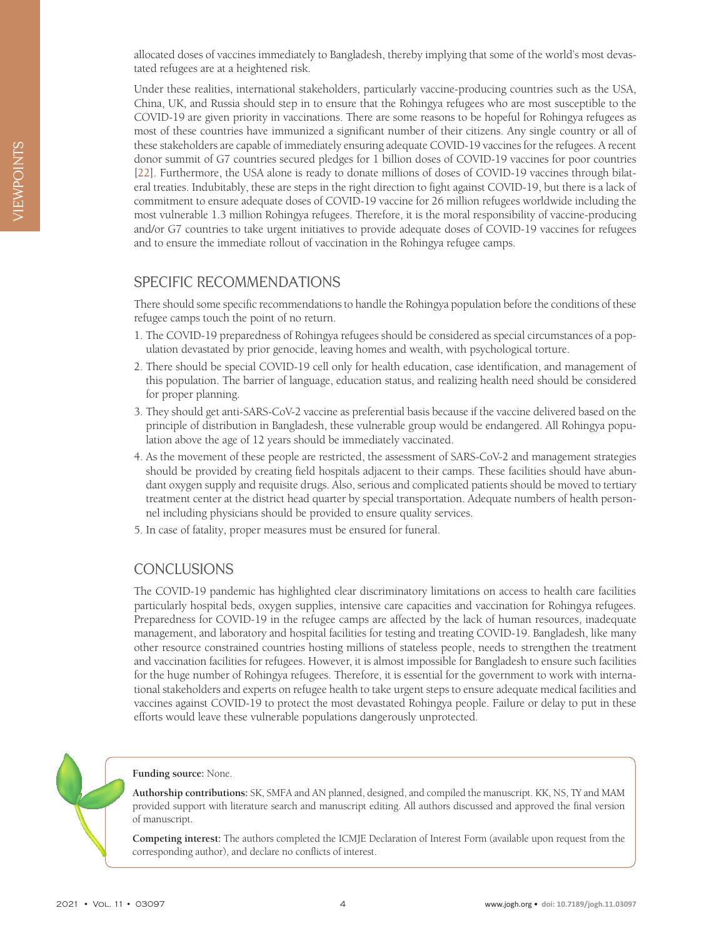allocated doses of vaccines immediately to Bangladesh, thereby implying that some of the world's most devastated refugees are at a heightened risk.

Under these realities, international stakeholders, particularly vaccine-producing countries such as the USA, China, UK, and Russia should step in to ensure that the Rohingya refugees who are most susceptible to the COVID-19 are given priority in vaccinations. There are some reasons to be hopeful for Rohingya refugees as most of these countries have immunized a significant number of their citizens. Any single country or all of these stakeholders are capable of immediately ensuring adequate COVID-19 vaccines for the refugees. A recent donor summit of G7 countries secured pledges for 1 billion doses of COVID-19 vaccines for poor countries [[22\]](#page-4-19). Furthermore, the USA alone is ready to donate millions of doses of COVID-19 vaccines through bilateral treaties. Indubitably, these are steps in the right direction to fight against COVID-19, but there is a lack of commitment to ensure adequate doses of COVID-19 vaccine for 26 million refugees worldwide including the most vulnerable 1.3 million Rohingya refugees. Therefore, it is the moral responsibility of vaccine-producing and/or G7 countries to take urgent initiatives to provide adequate doses of COVID-19 vaccines for refugees and to ensure the immediate rollout of vaccination in the Rohingya refugee camps.

#### SPECIFIC RECOMMENDATIONS

There should some specific recommendations to handle the Rohingya population before the conditions of these refugee camps touch the point of no return.

- 1. The COVID-19 preparedness of Rohingya refugees should be considered as special circumstances of a population devastated by prior genocide, leaving homes and wealth, with psychological torture.
- 2. There should be special COVID-19 cell only for health education, case identification, and management of this population. The barrier of language, education status, and realizing health need should be considered for proper planning.
- 3. They should get anti-SARS-CoV-2 vaccine as preferential basis because if the vaccine delivered based on the principle of distribution in Bangladesh, these vulnerable group would be endangered. All Rohingya population above the age of 12 years should be immediately vaccinated.
- 4. As the movement of these people are restricted, the assessment of SARS-CoV-2 and management strategies should be provided by creating field hospitals adjacent to their camps. These facilities should have abundant oxygen supply and requisite drugs. Also, serious and complicated patients should be moved to tertiary treatment center at the district head quarter by special transportation. Adequate numbers of health personnel including physicians should be provided to ensure quality services.
- 5. In case of fatality, proper measures must be ensured for funeral.

## CONCLUSIONS

The COVID-19 pandemic has highlighted clear discriminatory limitations on access to health care facilities particularly hospital beds, oxygen supplies, intensive care capacities and vaccination for Rohingya refugees. Preparedness for COVID-19 in the refugee camps are affected by the lack of human resources, inadequate management, and laboratory and hospital facilities for testing and treating COVID-19. Bangladesh, like many other resource constrained countries hosting millions of stateless people, needs to strengthen the treatment and vaccination facilities for refugees. However, it is almost impossible for Bangladesh to ensure such facilities for the huge number of Rohingya refugees. Therefore, it is essential for the government to work with international stakeholders and experts on refugee health to take urgent steps to ensure adequate medical facilities and vaccines against COVID-19 to protect the most devastated Rohingya people. Failure or delay to put in these efforts would leave these vulnerable populations dangerously unprotected.

#### **Funding source:** None.

**Authorship contributions:** SK, SMFA and AN planned, designed, and compiled the manuscript. KK, NS, TY and MAM provided support with literature search and manuscript editing. All authors discussed and approved the final version of manuscript.

**Competing interest:** The authors completed the ICMJE Declaration of Interest Form (available upon request from the corresponding author), and declare no conflicts of interest.